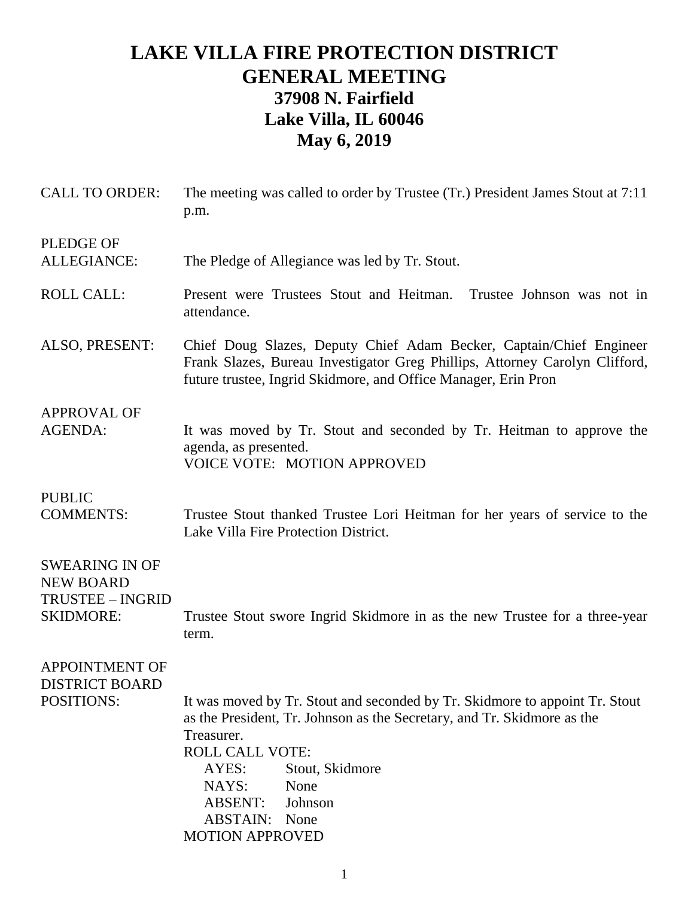## **LAKE VILLA FIRE PROTECTION DISTRICT GENERAL MEETING 37908 N. Fairfield Lake Villa, IL 60046 May 6, 2019**

| <b>CALL TO ORDER:</b>                                                             | The meeting was called to order by Trustee (Tr.) President James Stout at 7:11<br>p.m.                                                                                                                                                                                                                                        |
|-----------------------------------------------------------------------------------|-------------------------------------------------------------------------------------------------------------------------------------------------------------------------------------------------------------------------------------------------------------------------------------------------------------------------------|
| <b>PLEDGE OF</b><br>ALLEGIANCE:                                                   | The Pledge of Allegiance was led by Tr. Stout.                                                                                                                                                                                                                                                                                |
| <b>ROLL CALL:</b>                                                                 | Present were Trustees Stout and Heitman. Trustee Johnson was not in<br>attendance.                                                                                                                                                                                                                                            |
| ALSO, PRESENT:                                                                    | Chief Doug Slazes, Deputy Chief Adam Becker, Captain/Chief Engineer<br>Frank Slazes, Bureau Investigator Greg Phillips, Attorney Carolyn Clifford,<br>future trustee, Ingrid Skidmore, and Office Manager, Erin Pron                                                                                                          |
| <b>APPROVAL OF</b><br><b>AGENDA:</b>                                              | It was moved by Tr. Stout and seconded by Tr. Heitman to approve the<br>agenda, as presented.<br><b>VOICE VOTE: MOTION APPROVED</b>                                                                                                                                                                                           |
| <b>PUBLIC</b><br><b>COMMENTS:</b>                                                 | Trustee Stout thanked Trustee Lori Heitman for her years of service to the<br>Lake Villa Fire Protection District.                                                                                                                                                                                                            |
| <b>SWEARING IN OF</b><br><b>NEW BOARD</b><br>TRUSTEE - INGRID<br><b>SKIDMORE:</b> | Trustee Stout swore Ingrid Skidmore in as the new Trustee for a three-year<br>term.                                                                                                                                                                                                                                           |
| <b>APPOINTMENT OF</b><br><b>DISTRICT BOARD</b><br>POSITIONS:                      | It was moved by Tr. Stout and seconded by Tr. Skidmore to appoint Tr. Stout<br>as the President, Tr. Johnson as the Secretary, and Tr. Skidmore as the<br>Treasurer.<br><b>ROLL CALL VOTE:</b><br>AYES:<br>Stout, Skidmore<br>NAYS:<br>None<br><b>ABSENT:</b><br>Johnson<br><b>ABSTAIN:</b><br>None<br><b>MOTION APPROVED</b> |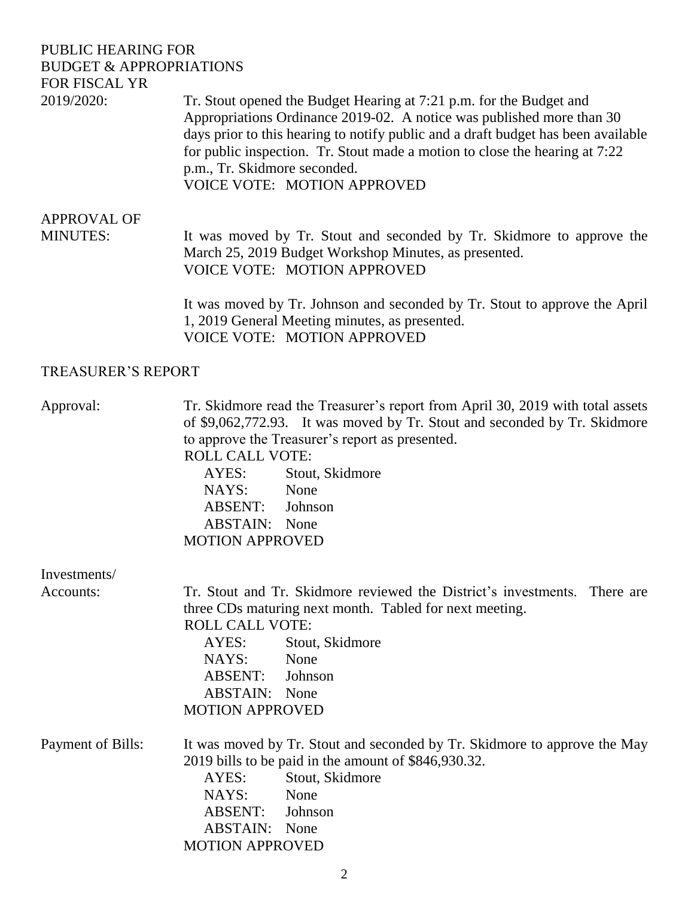### PUBLIC HEARING FOR BUDGET & APPROPRIATIONS FOR FISCAL YR 2019/2020: Tr. Stout opened the Budget Hearing at 7:21 p.m. for the Budget and

Appropriations Ordinance 2019-02. A notice was published more than 30 days prior to this hearing to notify public and a draft budget has been available for public inspection. Tr. Stout made a motion to close the hearing at 7:22 p.m., Tr. Skidmore seconded. VOICE VOTE: MOTION APPROVED

APPROVAL OF

MINUTES: It was moved by Tr. Stout and seconded by Tr. Skidmore to approve the March 25, 2019 Budget Workshop Minutes, as presented. VOICE VOTE: MOTION APPROVED

> It was moved by Tr. Johnson and seconded by Tr. Stout to approve the April 1, 2019 General Meeting minutes, as presented. VOICE VOTE: MOTION APPROVED

#### TREASURER'S REPORT

Approval: Tr. Skidmore read the Treasurer's report from April 30, 2019 with total assets of \$9,062,772.93. It was moved by Tr. Stout and seconded by Tr. Skidmore to approve the Treasurer's report as presented.

> ROLL CALL VOTE: AYES: Stout, Skidmore NAYS: None ABSENT: Johnson ABSTAIN: None MOTION APPROVED

Investments/

Accounts: Tr. Stout and Tr. Skidmore reviewed the District's investments. There are three CDs maturing next month. Tabled for next meeting. ROLL CALL VOTE: AYES: Stout, Skidmore NAYS: None ABSENT: Johnson ABSTAIN: None MOTION APPROVED Payment of Bills: It was moved by Tr. Stout and seconded by Tr. Skidmore to approve the May 2019 bills to be paid in the amount of \$846,930.32. AYES: Stout, Skidmore NAYS: None ABSENT: Johnson ABSTAIN: None

MOTION APPROVED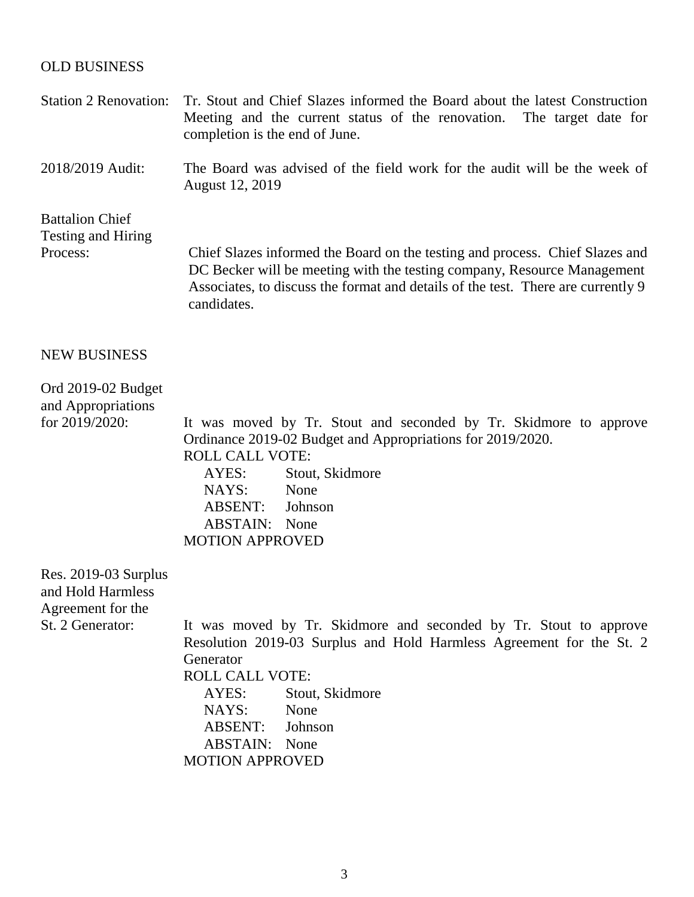#### OLD BUSINESS

- Station 2 Renovation: Tr. Stout and Chief Slazes informed the Board about the latest Construction Meeting and the current status of the renovation. The target date for completion is the end of June.
- 2018/2019 Audit: The Board was advised of the field work for the audit will be the week of August 12, 2019

Battalion Chief Testing and Hiring

Process: Chief Slazes informed the Board on the testing and process. Chief Slazes and DC Becker will be meeting with the testing company, Resource Management Associates, to discuss the format and details of the test. There are currently 9 candidates.

#### NEW BUSINESS

Ord 2019-02 Budget and Appropriations

for 2019/2020: It was moved by Tr. Stout and seconded by Tr. Skidmore to approve Ordinance 2019-02 Budget and Appropriations for 2019/2020. ROLL CALL VOTE: AYES: Stout, Skidmore NAYS: None

ABSENT: Johnson ABSTAIN: None MOTION APPROVED

| Res. 2019-03 Surplus |  |  |
|----------------------|--|--|
| and Hold Harmless    |  |  |
| Agreement for the    |  |  |
| St. 2 Generator:     |  |  |

It was moved by Tr. Skidmore and seconded by Tr. Stout to approve Resolution 2019-03 Surplus and Hold Harmless Agreement for the St. 2 **Generator** 

ROLL CALL VOTE:

AYES: Stout, Skidmore NAYS: None ABSENT: Johnson ABSTAIN: None MOTION APPROVED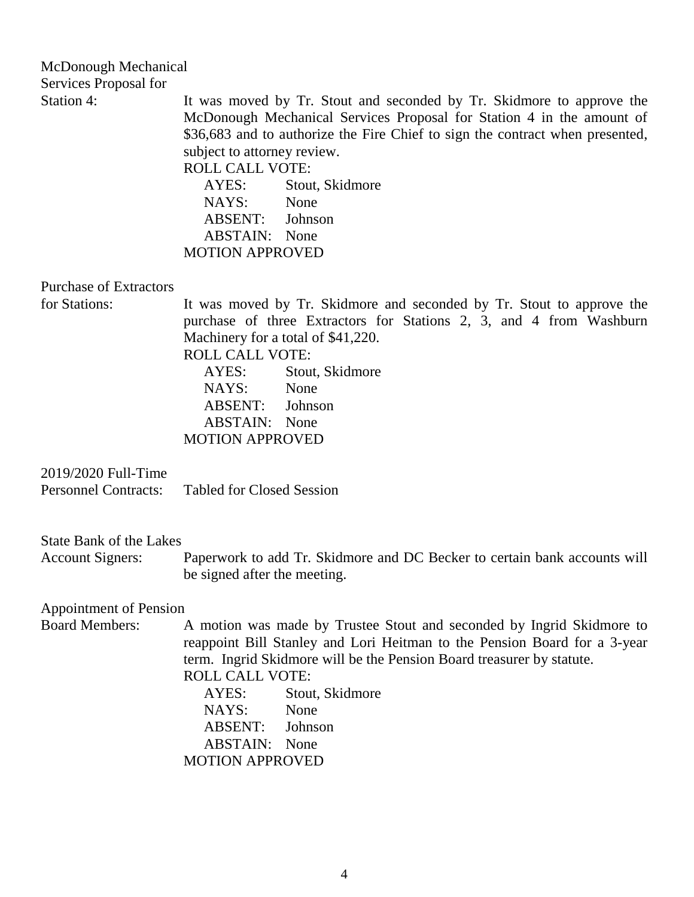# McDonough Mechanical Services Proposal for

Station 4: It was moved by Tr. Stout and seconded by Tr. Skidmore to approve the McDonough Mechanical Services Proposal for Station 4 in the amount of \$36,683 and to authorize the Fire Chief to sign the contract when presented, subject to attorney review.

ROLL CALL VOTE:

AYES: Stout, Skidmore NAYS: None ABSENT: Johnson ABSTAIN: None MOTION APPROVED

Purchase of Extractors

for Stations: It was moved by Tr. Skidmore and seconded by Tr. Stout to approve the purchase of three Extractors for Stations 2, 3, and 4 from Washburn Machinery for a total of \$41,220.

ROLL CALL VOTE: AYES: Stout, Skidmore NAYS: None ABSENT: Johnson ABSTAIN: None MOTION APPROVED

2019/2020 Full-Time Personnel Contracts: Tabled for Closed Session

State Bank of the Lakes

Account Signers: Paperwork to add Tr. Skidmore and DC Becker to certain bank accounts will be signed after the meeting.

Appointment of Pension

Board Members: A motion was made by Trustee Stout and seconded by Ingrid Skidmore to reappoint Bill Stanley and Lori Heitman to the Pension Board for a 3-year term. Ingrid Skidmore will be the Pension Board treasurer by statute. ROLL CALL VOTE:

AYES: Stout, Skidmore NAYS: None ABSENT: Johnson ABSTAIN: None MOTION APPROVED